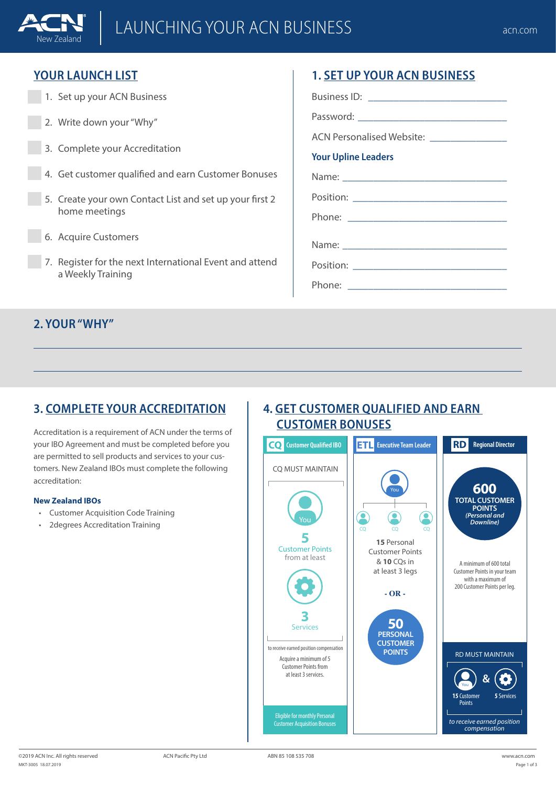

### **YOUR LAUNCH LIST**

New Zealand

- 1. Set up your ACN Business
- 2. Write down your "Why"
- 3. Complete your Accreditation
- 4. Get customer qualified and earn Customer Bonuses
- 5. Create your own Contact List and set up your first 2 home meetings
- 6. Acquire Customers
- 7. Register for the next International Event and attend a Weekly Training

# **1. SET UP YOUR ACN BUSINESS**

Business ID:  $\Box$ 

Password:

ACN Personalised Website:

#### **Your Upline Leaders**

Name:

Position:

Phone:

Name:

Position: \_\_\_\_\_\_\_\_\_\_\_\_\_\_\_\_\_\_\_\_\_\_\_\_\_\_\_\_\_\_

Phone: \_\_\_\_\_\_\_\_\_\_\_\_\_\_\_\_\_\_\_\_\_\_\_\_\_\_\_\_\_\_\_

### **2. YOUR "WHY"**

## **3. COMPLETE YOUR ACCREDITATION**

Accreditation is a requirement of ACN under the terms of your IBO Agreement and must be completed before you are permitted to sell products and services to your customers. New Zealand IBOs must complete the following accreditation:

#### **New Zealand IBOs**

- Customer Acquisition Code Training
- 2degrees Accreditation Training

### **4. GET CUSTOMER QUALIFIED AND EARN CUSTOMER BONUSES**

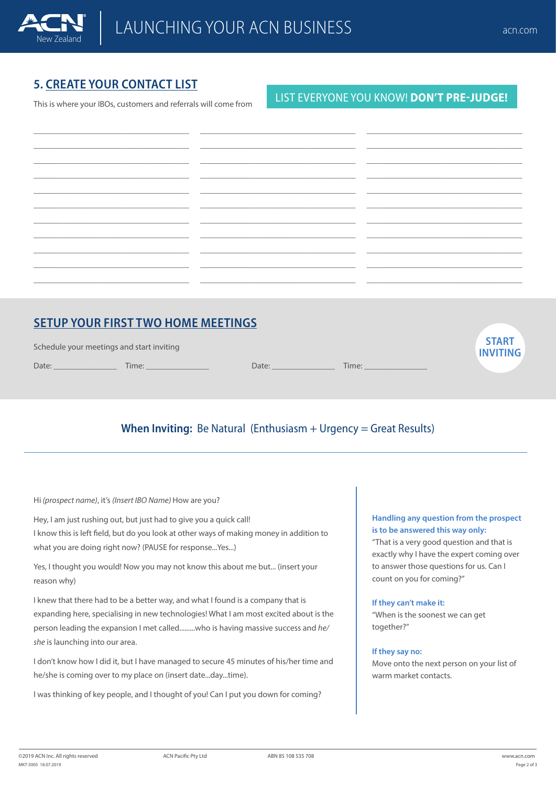

**START INVITING**

# **5. CREATE YOUR CONTACT LIST**

This is where your IBOs, customers and referrals will come from

#### LIST EVERYONE YOU KNOW! **DON'T PRE-JUDGE!**

| <u> 1989 - Johann John Stone, markin biskup og det ble større og det ble større og det ble større og det ble stør</u> |                                                                                                                       |  |
|-----------------------------------------------------------------------------------------------------------------------|-----------------------------------------------------------------------------------------------------------------------|--|
|                                                                                                                       |                                                                                                                       |  |
|                                                                                                                       |                                                                                                                       |  |
|                                                                                                                       |                                                                                                                       |  |
| <u> 2002 - Jan Bernard Bernard, mars and de la participation (m. 2011)</u>                                            |                                                                                                                       |  |
|                                                                                                                       |                                                                                                                       |  |
|                                                                                                                       |                                                                                                                       |  |
|                                                                                                                       | <u> 1980 - Jan Bernard Bernard, mars and de la partie de la partie de la partie de la partie de la partie de la p</u> |  |
|                                                                                                                       |                                                                                                                       |  |

## **SETUP YOUR FIRST TWO HOME MEETINGS**

| Schedule your meetings and start inviting |  |  |
|-------------------------------------------|--|--|
|                                           |  |  |

Date: \_\_\_\_\_\_\_\_\_\_\_\_\_\_\_ Time: \_\_\_\_\_\_\_\_\_\_\_\_\_\_\_

### **When Inviting:** Be Natural (Enthusiasm + Urgency = Great Results)

Date: \_\_\_\_\_\_\_\_\_\_\_\_\_\_\_ Time: \_\_\_\_\_\_\_\_\_\_\_\_\_\_\_

Hi *(prospect name)*, it's *(Insert IBO Name)* How are you?

Hey, I am just rushing out, but just had to give you a quick call! I know this is left field, but do you look at other ways of making money in addition to what you are doing right now? (PAUSE for response...Yes...)

Yes, I thought you would! Now you may not know this about me but... (insert your reason why)

I knew that there had to be a better way, and what I found is a company that is expanding here, specialising in new technologies! What I am most excited about is the person leading the expansion I met called.........who is having massive success and *he/ she* is launching into our area.

I don't know how I did it, but I have managed to secure 45 minutes of his/her time and he/she is coming over to my place on (insert date...day...time).

I was thinking of key people, and I thought of you! Can I put you down for coming?

#### **Handling any question from the prospect is to be answered this way only:**

"That is a very good question and that is exactly why I have the expert coming over to answer those questions for us. Can I count on you for coming?"

#### **If they can't make it:**

"When is the soonest we can get together?"

#### **If they say no:**

Move onto the next person on your list of warm market contacts.